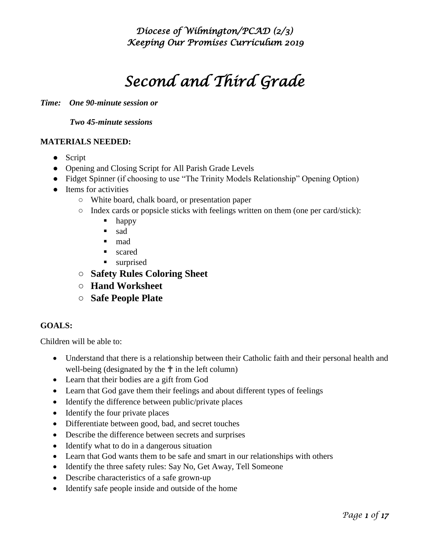# *Second and Third Grade*

*Time: One 90-minute session or*

 *Two 45-minute sessions* 

#### **MATERIALS NEEDED:**

- Script
- Opening and Closing Script for All Parish Grade Levels
- Fidget Spinner (if choosing to use "The Trinity Models Relationship" Opening Option)
- Items for activities
	- **○** White board, chalk board, or presentation paper
	- **○** Index cards or popsicle sticks with feelings written on them (one per card/stick):
		- **happy**
		- sad
		- mad
		- scared
		- **surprised**
	- **○ Safety Rules Coloring Sheet**
	- **○ Hand Worksheet**
	- **○ Safe People Plate**

#### **GOALS:**

Children will be able to:

- Understand that there is a relationship between their Catholic faith and their personal health and well-being (designated by the  $\uparrow$  in the left column)
- Learn that their bodies are a gift from God
- Learn that God gave them their feelings and about different types of feelings
- Identify the difference between public/private places
- Identify the four private places
- Differentiate between good, bad, and secret touches
- Describe the difference between secrets and surprises
- Identify what to do in a dangerous situation
- Learn that God wants them to be safe and smart in our relationships with others
- Identify the three safety rules: Say No, Get Away, Tell Someone
- Describe characteristics of a safe grown-up
- Identify safe people inside and outside of the home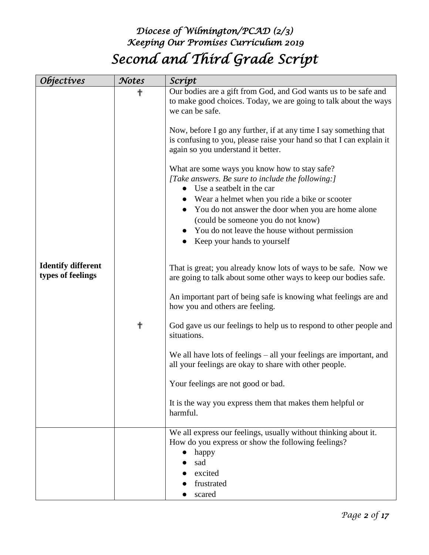# *Diocese of Wilmington/PCAD (2/3) Keeping Our Promises Curriculum 2019 Second and Third Grade Script*

| <i><b>Objectives</b></i>                       | Notes | Scrípt                                                                                                                                                                                                                                                                                                                                                                                                                                                                       |
|------------------------------------------------|-------|------------------------------------------------------------------------------------------------------------------------------------------------------------------------------------------------------------------------------------------------------------------------------------------------------------------------------------------------------------------------------------------------------------------------------------------------------------------------------|
|                                                | ╉     | Our bodies are a gift from God, and God wants us to be safe and<br>to make good choices. Today, we are going to talk about the ways<br>we can be safe.<br>Now, before I go any further, if at any time I say something that<br>is confusing to you, please raise your hand so that I can explain it<br>again so you understand it better.<br>What are some ways you know how to stay safe?<br>[Take answers. Be sure to include the following:]<br>Use a seatbelt in the car |
|                                                |       | Wear a helmet when you ride a bike or scooter<br>You do not answer the door when you are home alone<br>(could be someone you do not know)<br>You do not leave the house without permission<br>Keep your hands to yourself                                                                                                                                                                                                                                                    |
| <b>Identify different</b><br>types of feelings |       | That is great; you already know lots of ways to be safe. Now we<br>are going to talk about some other ways to keep our bodies safe.                                                                                                                                                                                                                                                                                                                                          |
|                                                |       | An important part of being safe is knowing what feelings are and<br>how you and others are feeling.                                                                                                                                                                                                                                                                                                                                                                          |
|                                                | ╉     | God gave us our feelings to help us to respond to other people and<br>situations.                                                                                                                                                                                                                                                                                                                                                                                            |
|                                                |       | We all have lots of feelings – all your feelings are important, and<br>all your feelings are okay to share with other people.                                                                                                                                                                                                                                                                                                                                                |
|                                                |       | Your feelings are not good or bad.                                                                                                                                                                                                                                                                                                                                                                                                                                           |
|                                                |       | It is the way you express them that makes them helpful or<br>harmful.                                                                                                                                                                                                                                                                                                                                                                                                        |
|                                                |       | We all express our feelings, usually without thinking about it.<br>How do you express or show the following feelings?<br>happy<br>sad<br>excited<br>frustrated<br>scared                                                                                                                                                                                                                                                                                                     |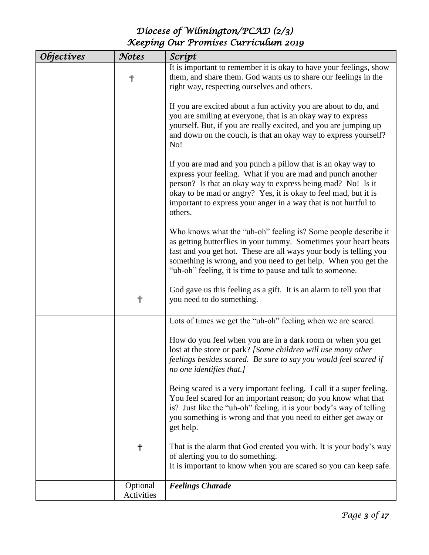| <i><b>Objectives</b></i> | Notes                  | Scrípt                                                                                                                                                                                                                                                                                                                                      |
|--------------------------|------------------------|---------------------------------------------------------------------------------------------------------------------------------------------------------------------------------------------------------------------------------------------------------------------------------------------------------------------------------------------|
|                          | ╋                      | It is important to remember it is okay to have your feelings, show<br>them, and share them. God wants us to share our feelings in the<br>right way, respecting ourselves and others.                                                                                                                                                        |
|                          |                        | If you are excited about a fun activity you are about to do, and<br>you are smiling at everyone, that is an okay way to express<br>yourself. But, if you are really excited, and you are jumping up<br>and down on the couch, is that an okay way to express yourself?<br>No!                                                               |
|                          |                        | If you are mad and you punch a pillow that is an okay way to<br>express your feeling. What if you are mad and punch another<br>person? Is that an okay way to express being mad? No! Is it<br>okay to be mad or angry? Yes, it is okay to feel mad, but it is<br>important to express your anger in a way that is not hurtful to<br>others. |
|                          |                        | Who knows what the "uh-oh" feeling is? Some people describe it<br>as getting butterflies in your tummy. Sometimes your heart beats<br>fast and you get hot. These are all ways your body is telling you<br>something is wrong, and you need to get help. When you get the<br>"uh-oh" feeling, it is time to pause and talk to someone.      |
|                          | ╉                      | God gave us this feeling as a gift. It is an alarm to tell you that<br>you need to do something.                                                                                                                                                                                                                                            |
|                          |                        | Lots of times we get the "uh-oh" feeling when we are scared.                                                                                                                                                                                                                                                                                |
|                          |                        | How do you feel when you are in a dark room or when you get<br>lost at the store or park? [Some children will use many other<br>feelings besides scared. Be sure to say you would feel scared if<br>no one identifies that.]                                                                                                                |
|                          |                        | Being scared is a very important feeling. I call it a super feeling.<br>You feel scared for an important reason; do you know what that<br>is? Just like the "uh-oh" feeling, it is your body's way of telling<br>you something is wrong and that you need to either get away or<br>get help.                                                |
|                          | ╬                      | That is the alarm that God created you with. It is your body's way<br>of alerting you to do something.<br>It is important to know when you are scared so you can keep safe.                                                                                                                                                                 |
|                          | Optional<br>Activities | <b>Feelings Charade</b>                                                                                                                                                                                                                                                                                                                     |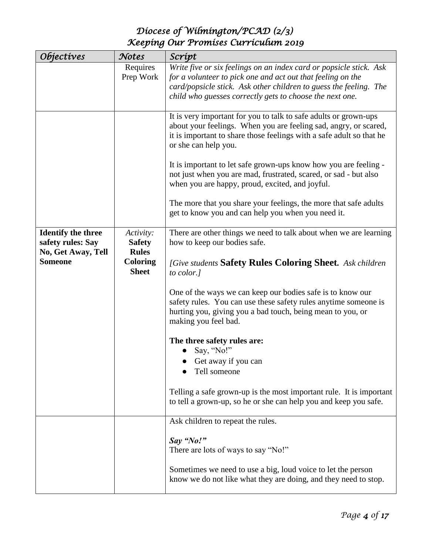| Objectives                                                           | Notes                                      | Scrípt                                                                                                                                                                                                                                                             |
|----------------------------------------------------------------------|--------------------------------------------|--------------------------------------------------------------------------------------------------------------------------------------------------------------------------------------------------------------------------------------------------------------------|
|                                                                      | Requires<br>Prep Work                      | Write five or six feelings on an index card or popsicle stick. Ask<br>for a volunteer to pick one and act out that feeling on the<br>card/popsicle stick. Ask other children to guess the feeling. The<br>child who guesses correctly gets to choose the next one. |
|                                                                      |                                            | It is very important for you to talk to safe adults or grown-ups<br>about your feelings. When you are feeling sad, angry, or scared,<br>it is important to share those feelings with a safe adult so that he<br>or she can help you.                               |
|                                                                      |                                            | It is important to let safe grown-ups know how you are feeling -<br>not just when you are mad, frustrated, scared, or sad - but also<br>when you are happy, proud, excited, and joyful.                                                                            |
|                                                                      |                                            | The more that you share your feelings, the more that safe adults<br>get to know you and can help you when you need it.                                                                                                                                             |
| <b>Identify the three</b><br>safety rules: Say<br>No, Get Away, Tell | Activity:<br><b>Safety</b><br><b>Rules</b> | There are other things we need to talk about when we are learning<br>how to keep our bodies safe.                                                                                                                                                                  |
| <b>Someone</b>                                                       | <b>Coloring</b><br><b>Sheet</b>            | [Give students Safety Rules Coloring Sheet. Ask children<br>to color.]                                                                                                                                                                                             |
|                                                                      |                                            | One of the ways we can keep our bodies safe is to know our<br>safety rules. You can use these safety rules anytime someone is<br>hurting you, giving you a bad touch, being mean to you, or<br>making you feel bad.                                                |
|                                                                      |                                            | The three safety rules are:                                                                                                                                                                                                                                        |
|                                                                      |                                            | Say, "No!"<br>Get away if you can                                                                                                                                                                                                                                  |
|                                                                      |                                            | Tell someone                                                                                                                                                                                                                                                       |
|                                                                      |                                            | Telling a safe grown-up is the most important rule. It is important<br>to tell a grown-up, so he or she can help you and keep you safe.                                                                                                                            |
|                                                                      |                                            | Ask children to repeat the rules.                                                                                                                                                                                                                                  |
|                                                                      |                                            | Say "No!"<br>There are lots of ways to say "No!"                                                                                                                                                                                                                   |
|                                                                      |                                            | Sometimes we need to use a big, loud voice to let the person<br>know we do not like what they are doing, and they need to stop.                                                                                                                                    |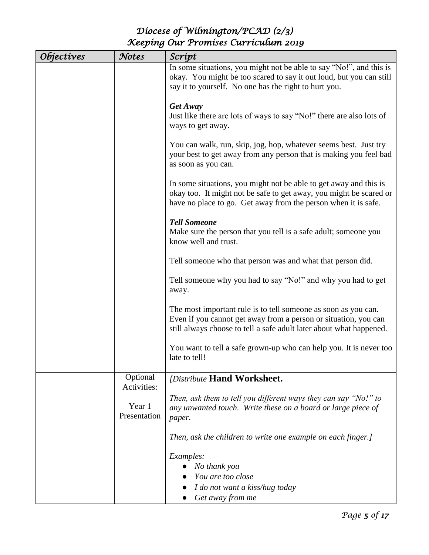| <i>Objectives</i> | Notes                   | Scrípt                                                                                                                                                                                                    |
|-------------------|-------------------------|-----------------------------------------------------------------------------------------------------------------------------------------------------------------------------------------------------------|
|                   |                         | In some situations, you might not be able to say "No!", and this is<br>okay. You might be too scared to say it out loud, but you can still<br>say it to yourself. No one has the right to hurt you.       |
|                   |                         | Get Away<br>Just like there are lots of ways to say "No!" there are also lots of<br>ways to get away.                                                                                                     |
|                   |                         | You can walk, run, skip, jog, hop, whatever seems best. Just try<br>your best to get away from any person that is making you feel bad<br>as soon as you can.                                              |
|                   |                         | In some situations, you might not be able to get away and this is<br>okay too. It might not be safe to get away, you might be scared or<br>have no place to go. Get away from the person when it is safe. |
|                   |                         | <b>Tell Someone</b><br>Make sure the person that you tell is a safe adult; someone you<br>know well and trust.                                                                                            |
|                   |                         | Tell someone who that person was and what that person did.                                                                                                                                                |
|                   |                         | Tell someone why you had to say "No!" and why you had to get<br>away.                                                                                                                                     |
|                   |                         | The most important rule is to tell someone as soon as you can.<br>Even if you cannot get away from a person or situation, you can<br>still always choose to tell a safe adult later about what happened.  |
|                   |                         | You want to tell a safe grown-up who can help you. It is never too<br>late to tell!                                                                                                                       |
|                   | Optional<br>Activities: | [Distribute Hand Worksheet.                                                                                                                                                                               |
|                   | Year 1<br>Presentation  | Then, ask them to tell you different ways they can say "No!" to<br>any unwanted touch. Write these on a board or large piece of<br>paper.                                                                 |
|                   |                         | Then, ask the children to write one example on each finger.]                                                                                                                                              |
|                   |                         | Examples:<br>No thank you<br>$\bullet$<br>You are too close                                                                                                                                               |
|                   |                         | I do not want a kiss/hug today<br>Get away from me                                                                                                                                                        |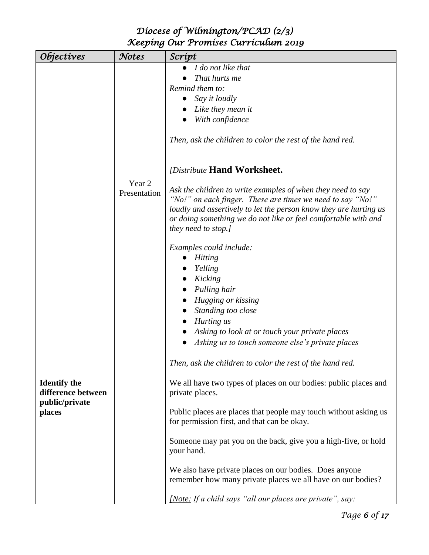| <i><b>Objectives</b></i>                  | Notes                  | Scrípt                                                                                                                                                                                                                                                                                  |
|-------------------------------------------|------------------------|-----------------------------------------------------------------------------------------------------------------------------------------------------------------------------------------------------------------------------------------------------------------------------------------|
|                                           |                        | I do not like that                                                                                                                                                                                                                                                                      |
|                                           |                        | That hurts me                                                                                                                                                                                                                                                                           |
|                                           |                        | Remind them to:                                                                                                                                                                                                                                                                         |
|                                           |                        | Say it loudly                                                                                                                                                                                                                                                                           |
|                                           |                        | Like they mean it                                                                                                                                                                                                                                                                       |
|                                           |                        | With confidence                                                                                                                                                                                                                                                                         |
|                                           |                        | Then, ask the children to color the rest of the hand red.                                                                                                                                                                                                                               |
|                                           |                        | <i><b>[Distribute Hand Worksheet.</b></i>                                                                                                                                                                                                                                               |
|                                           | Year 2<br>Presentation | Ask the children to write examples of when they need to say<br>"No!" on each finger. These are times we need to say "No!"<br>loudly and assertively to let the person know they are hurting us<br>or doing something we do not like or feel comfortable with and<br>they need to stop.] |
|                                           |                        | Examples could include:<br>Hitting                                                                                                                                                                                                                                                      |
|                                           |                        | Yelling                                                                                                                                                                                                                                                                                 |
|                                           |                        | Kicking                                                                                                                                                                                                                                                                                 |
|                                           |                        | Pulling hair                                                                                                                                                                                                                                                                            |
|                                           |                        | Hugging or kissing                                                                                                                                                                                                                                                                      |
|                                           |                        | Standing too close                                                                                                                                                                                                                                                                      |
|                                           |                        | Hurting us                                                                                                                                                                                                                                                                              |
|                                           |                        | Asking to look at or touch your private places                                                                                                                                                                                                                                          |
|                                           |                        | Asking us to touch someone else's private places                                                                                                                                                                                                                                        |
|                                           |                        |                                                                                                                                                                                                                                                                                         |
|                                           |                        | Then, ask the children to color the rest of the hand red.                                                                                                                                                                                                                               |
| <b>Identify the</b><br>difference between |                        | We all have two types of places on our bodies: public places and<br>private places.                                                                                                                                                                                                     |
| public/private<br>places                  |                        | Public places are places that people may touch without asking us<br>for permission first, and that can be okay.                                                                                                                                                                         |
|                                           |                        | Someone may pat you on the back, give you a high-five, or hold<br>your hand.                                                                                                                                                                                                            |
|                                           |                        | We also have private places on our bodies. Does anyone<br>remember how many private places we all have on our bodies?                                                                                                                                                                   |
|                                           |                        | [Note: If a child says "all our places are private", say:                                                                                                                                                                                                                               |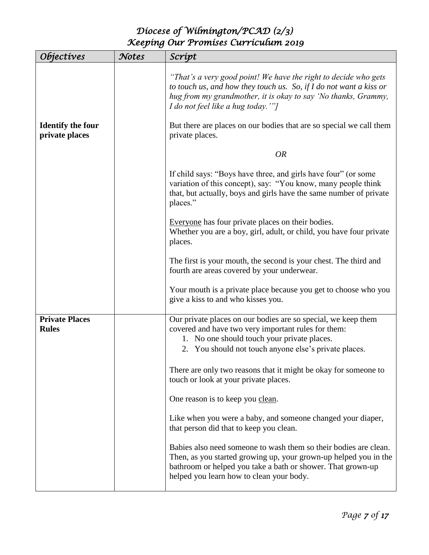| <i><b>Objectives</b></i>              | Notes | Scrípt                                                                                                                                                                                                                                                                                                                 |
|---------------------------------------|-------|------------------------------------------------------------------------------------------------------------------------------------------------------------------------------------------------------------------------------------------------------------------------------------------------------------------------|
| <b>Identify the four</b>              |       | "That's a very good point! We have the right to decide who gets<br>to touch us, and how they touch us. So, if $I$ do not want a kiss or<br>hug from my grandmother, it is okay to say 'No thanks, Grammy,<br>I do not feel like a hug today.'"]<br>But there are places on our bodies that are so special we call them |
| private places                        |       | private places.                                                                                                                                                                                                                                                                                                        |
|                                       |       | <b>OR</b>                                                                                                                                                                                                                                                                                                              |
|                                       |       | If child says: "Boys have three, and girls have four" (or some<br>variation of this concept), say: "You know, many people think<br>that, but actually, boys and girls have the same number of private<br>places."                                                                                                      |
|                                       |       | Everyone has four private places on their bodies.<br>Whether you are a boy, girl, adult, or child, you have four private<br>places.                                                                                                                                                                                    |
|                                       |       | The first is your mouth, the second is your chest. The third and<br>fourth are areas covered by your underwear.                                                                                                                                                                                                        |
|                                       |       | Your mouth is a private place because you get to choose who you<br>give a kiss to and who kisses you.                                                                                                                                                                                                                  |
| <b>Private Places</b><br><b>Rules</b> |       | Our private places on our bodies are so special, we keep them<br>covered and have two very important rules for them:<br>1. No one should touch your private places.<br>2. You should not touch anyone else's private places.                                                                                           |
|                                       |       | There are only two reasons that it might be okay for someone to<br>touch or look at your private places.                                                                                                                                                                                                               |
|                                       |       | One reason is to keep you clean.                                                                                                                                                                                                                                                                                       |
|                                       |       | Like when you were a baby, and someone changed your diaper,<br>that person did that to keep you clean.                                                                                                                                                                                                                 |
|                                       |       | Babies also need someone to wash them so their bodies are clean.<br>Then, as you started growing up, your grown-up helped you in the<br>bathroom or helped you take a bath or shower. That grown-up<br>helped you learn how to clean your body.                                                                        |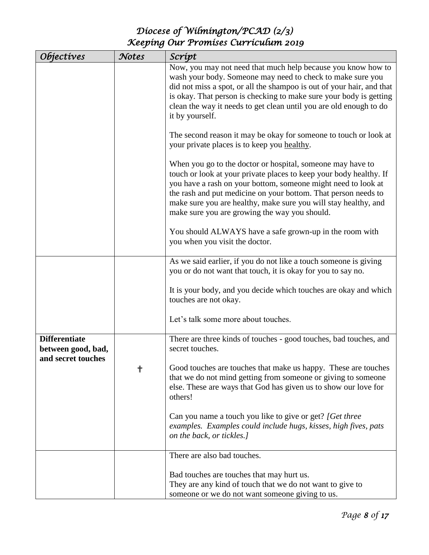| <i><b>Objectives</b></i>                                         | Notes | Scrípt                                                                                                                                                                                                                                                                                                                                                                                  |
|------------------------------------------------------------------|-------|-----------------------------------------------------------------------------------------------------------------------------------------------------------------------------------------------------------------------------------------------------------------------------------------------------------------------------------------------------------------------------------------|
|                                                                  |       | Now, you may not need that much help because you know how to<br>wash your body. Someone may need to check to make sure you<br>did not miss a spot, or all the shampoo is out of your hair, and that<br>is okay. That person is checking to make sure your body is getting<br>clean the way it needs to get clean until you are old enough to do<br>it by yourself.                      |
|                                                                  |       | The second reason it may be okay for someone to touch or look at<br>your private places is to keep you healthy.                                                                                                                                                                                                                                                                         |
|                                                                  |       | When you go to the doctor or hospital, someone may have to<br>touch or look at your private places to keep your body healthy. If<br>you have a rash on your bottom, someone might need to look at<br>the rash and put medicine on your bottom. That person needs to<br>make sure you are healthy, make sure you will stay healthy, and<br>make sure you are growing the way you should. |
|                                                                  |       | You should ALWAYS have a safe grown-up in the room with<br>you when you visit the doctor.                                                                                                                                                                                                                                                                                               |
|                                                                  |       | As we said earlier, if you do not like a touch someone is giving<br>you or do not want that touch, it is okay for you to say no.                                                                                                                                                                                                                                                        |
|                                                                  |       | It is your body, and you decide which touches are okay and which<br>touches are not okay.                                                                                                                                                                                                                                                                                               |
|                                                                  |       | Let's talk some more about touches.                                                                                                                                                                                                                                                                                                                                                     |
| <b>Differentiate</b><br>between good, bad,<br>and secret touches |       | There are three kinds of touches - good touches, bad touches, and<br>secret touches.                                                                                                                                                                                                                                                                                                    |
|                                                                  | †     | Good touches are touches that make us happy. These are touches<br>that we do not mind getting from someone or giving to someone<br>else. These are ways that God has given us to show our love for<br>others!                                                                                                                                                                           |
|                                                                  |       | Can you name a touch you like to give or get? [Get three<br>examples. Examples could include hugs, kisses, high fives, pats<br>on the back, or tickles.]                                                                                                                                                                                                                                |
|                                                                  |       | There are also bad touches.                                                                                                                                                                                                                                                                                                                                                             |
|                                                                  |       | Bad touches are touches that may hurt us.<br>They are any kind of touch that we do not want to give to<br>someone or we do not want someone giving to us.                                                                                                                                                                                                                               |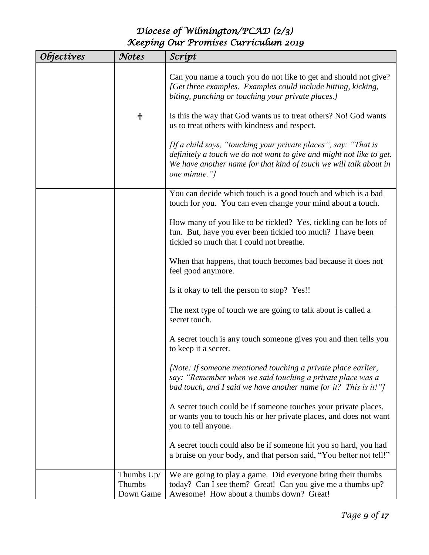| Objectives | Notes                             | Scrípt                                                                                                                                                                                                                        |
|------------|-----------------------------------|-------------------------------------------------------------------------------------------------------------------------------------------------------------------------------------------------------------------------------|
|            |                                   | Can you name a touch you do not like to get and should not give?<br>[Get three examples. Examples could include hitting, kicking,<br>biting, punching or touching your private places.]                                       |
|            | ╬                                 | Is this the way that God wants us to treat others? No! God wants<br>us to treat others with kindness and respect.                                                                                                             |
|            |                                   | [If a child says, "touching your private places", say: "That is<br>definitely a touch we do not want to give and might not like to get.<br>We have another name for that kind of touch we will talk about in<br>one minute."] |
|            |                                   | You can decide which touch is a good touch and which is a bad<br>touch for you. You can even change your mind about a touch.                                                                                                  |
|            |                                   | How many of you like to be tickled? Yes, tickling can be lots of<br>fun. But, have you ever been tickled too much? I have been<br>tickled so much that I could not breathe.                                                   |
|            |                                   | When that happens, that touch becomes bad because it does not<br>feel good anymore.                                                                                                                                           |
|            |                                   | Is it okay to tell the person to stop? Yes!!                                                                                                                                                                                  |
|            |                                   | The next type of touch we are going to talk about is called a<br>secret touch.                                                                                                                                                |
|            |                                   | A secret touch is any touch someone gives you and then tells you<br>to keep it a secret.                                                                                                                                      |
|            |                                   | [Note: If someone mentioned touching a private place earlier,<br>say: "Remember when we said touching a private place was a<br>bad touch, and I said we have another name for it? This is it!"]                               |
|            |                                   | A secret touch could be if someone touches your private places,<br>or wants you to touch his or her private places, and does not want<br>you to tell anyone.                                                                  |
|            |                                   | A secret touch could also be if someone hit you so hard, you had<br>a bruise on your body, and that person said, "You better not tell!"                                                                                       |
|            | Thumbs Up/<br>Thumbs<br>Down Game | We are going to play a game. Did everyone bring their thumbs<br>today? Can I see them? Great! Can you give me a thumbs up?<br>Awesome! How about a thumbs down? Great!                                                        |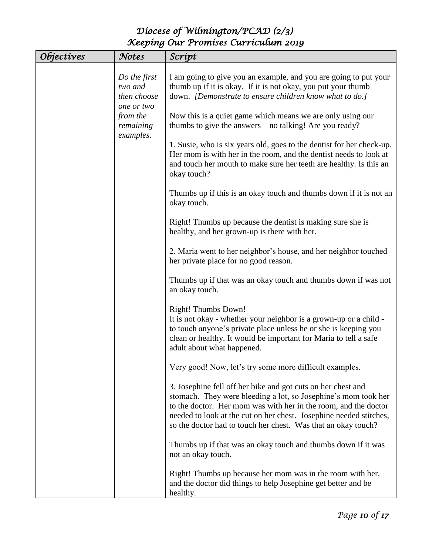| <i><b>Objectives</b></i> | Notes                                  | Scrípt                                                                                                                                                                                                                                                                                                                                   |
|--------------------------|----------------------------------------|------------------------------------------------------------------------------------------------------------------------------------------------------------------------------------------------------------------------------------------------------------------------------------------------------------------------------------------|
|                          | Do the first<br>two and<br>then choose | I am going to give you an example, and you are going to put your<br>thumb up if it is okay. If it is not okay, you put your thumb<br>down. <i>[Demonstrate to ensure children know what to do.]</i>                                                                                                                                      |
|                          | one or two<br>from the<br>remaining    | Now this is a quiet game which means we are only using our<br>thumbs to give the answers – no talking! Are you ready?                                                                                                                                                                                                                    |
|                          | examples.                              | 1. Susie, who is six years old, goes to the dentist for her check-up.<br>Her mom is with her in the room, and the dentist needs to look at<br>and touch her mouth to make sure her teeth are healthy. Is this an<br>okay touch?                                                                                                          |
|                          |                                        | Thumbs up if this is an okay touch and thumbs down if it is not an<br>okay touch.                                                                                                                                                                                                                                                        |
|                          |                                        | Right! Thumbs up because the dentist is making sure she is<br>healthy, and her grown-up is there with her.                                                                                                                                                                                                                               |
|                          |                                        | 2. Maria went to her neighbor's house, and her neighbor touched<br>her private place for no good reason.                                                                                                                                                                                                                                 |
|                          |                                        | Thumbs up if that was an okay touch and thumbs down if was not<br>an okay touch.                                                                                                                                                                                                                                                         |
|                          |                                        | Right! Thumbs Down!<br>It is not okay - whether your neighbor is a grown-up or a child -<br>to touch anyone's private place unless he or she is keeping you<br>clean or healthy. It would be important for Maria to tell a safe<br>adult about what happened.                                                                            |
|                          |                                        | Very good! Now, let's try some more difficult examples.                                                                                                                                                                                                                                                                                  |
|                          |                                        | 3. Josephine fell off her bike and got cuts on her chest and<br>stomach. They were bleeding a lot, so Josephine's mom took her<br>to the doctor. Her mom was with her in the room, and the doctor<br>needed to look at the cut on her chest. Josephine needed stitches,<br>so the doctor had to touch her chest. Was that an okay touch? |
|                          |                                        | Thumbs up if that was an okay touch and thumbs down if it was<br>not an okay touch.                                                                                                                                                                                                                                                      |
|                          |                                        | Right! Thumbs up because her mom was in the room with her,<br>and the doctor did things to help Josephine get better and be<br>healthy.                                                                                                                                                                                                  |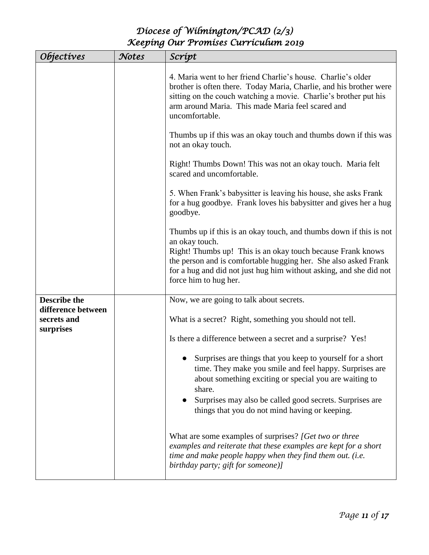| <i><b>Objectives</b></i>                       | Notes                                                   | Scrípt                                                                                                                                                                                                                                                                                                                |
|------------------------------------------------|---------------------------------------------------------|-----------------------------------------------------------------------------------------------------------------------------------------------------------------------------------------------------------------------------------------------------------------------------------------------------------------------|
|                                                |                                                         | 4. Maria went to her friend Charlie's house. Charlie's older<br>brother is often there. Today Maria, Charlie, and his brother were<br>sitting on the couch watching a movie. Charlie's brother put his<br>arm around Maria. This made Maria feel scared and<br>uncomfortable.                                         |
|                                                |                                                         | Thumbs up if this was an okay touch and thumbs down if this was<br>not an okay touch.                                                                                                                                                                                                                                 |
|                                                |                                                         | Right! Thumbs Down! This was not an okay touch. Maria felt<br>scared and uncomfortable.                                                                                                                                                                                                                               |
|                                                |                                                         | 5. When Frank's babysitter is leaving his house, she asks Frank<br>for a hug goodbye. Frank loves his babysitter and gives her a hug<br>goodbye.                                                                                                                                                                      |
|                                                |                                                         | Thumbs up if this is an okay touch, and thumbs down if this is not<br>an okay touch.<br>Right! Thumbs up! This is an okay touch because Frank knows<br>the person and is comfortable hugging her. She also asked Frank<br>for a hug and did not just hug him without asking, and she did not<br>force him to hug her. |
| <b>Describe the</b>                            |                                                         | Now, we are going to talk about secrets.                                                                                                                                                                                                                                                                              |
| difference between<br>secrets and<br>surprises | What is a secret? Right, something you should not tell. |                                                                                                                                                                                                                                                                                                                       |
|                                                |                                                         | Is there a difference between a secret and a surprise? Yes!                                                                                                                                                                                                                                                           |
|                                                |                                                         | Surprises are things that you keep to yourself for a short<br>time. They make you smile and feel happy. Surprises are<br>about something exciting or special you are waiting to<br>share.<br>Surprises may also be called good secrets. Surprises are<br>things that you do not mind having or keeping.               |
|                                                |                                                         | What are some examples of surprises? [Get two or three<br>examples and reiterate that these examples are kept for a short<br>time and make people happy when they find them out. (i.e.<br>birthday party; gift for someone)]                                                                                          |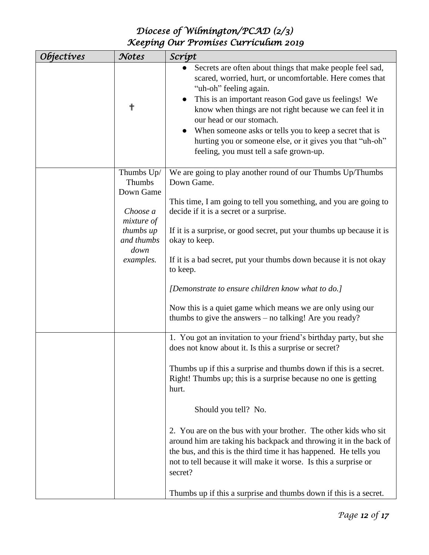| <i><b>Objectives</b></i> | Notes                             | Scrípt                                                                                                                                                                                                                                                                                                                                                                                                                                                                          |
|--------------------------|-----------------------------------|---------------------------------------------------------------------------------------------------------------------------------------------------------------------------------------------------------------------------------------------------------------------------------------------------------------------------------------------------------------------------------------------------------------------------------------------------------------------------------|
|                          | ╬                                 | Secrets are often about things that make people feel sad,<br>scared, worried, hurt, or uncomfortable. Here comes that<br>"uh-oh" feeling again.<br>This is an important reason God gave us feelings! We<br>know when things are not right because we can feel it in<br>our head or our stomach.<br>When someone asks or tells you to keep a secret that is<br>$\bullet$<br>hurting you or someone else, or it gives you that "uh-oh"<br>feeling, you must tell a safe grown-up. |
|                          | Thumbs Up/<br>Thumbs<br>Down Game | We are going to play another round of our Thumbs Up/Thumbs<br>Down Game.                                                                                                                                                                                                                                                                                                                                                                                                        |
|                          | Choose a<br>mixture of            | This time, I am going to tell you something, and you are going to<br>decide if it is a secret or a surprise.                                                                                                                                                                                                                                                                                                                                                                    |
|                          | thumbs up<br>and thumbs<br>down   | If it is a surprise, or good secret, put your thumbs up because it is<br>okay to keep.                                                                                                                                                                                                                                                                                                                                                                                          |
|                          | examples.                         | If it is a bad secret, put your thumbs down because it is not okay<br>to keep.                                                                                                                                                                                                                                                                                                                                                                                                  |
|                          |                                   | [Demonstrate to ensure children know what to do.]                                                                                                                                                                                                                                                                                                                                                                                                                               |
|                          |                                   | Now this is a quiet game which means we are only using our<br>thumbs to give the answers – no talking! Are you ready?                                                                                                                                                                                                                                                                                                                                                           |
|                          |                                   | 1. You got an invitation to your friend's birthday party, but she<br>does not know about it. Is this a surprise or secret?                                                                                                                                                                                                                                                                                                                                                      |
|                          |                                   | Thumbs up if this a surprise and thumbs down if this is a secret.<br>Right! Thumbs up; this is a surprise because no one is getting<br>hurt.                                                                                                                                                                                                                                                                                                                                    |
|                          |                                   | Should you tell? No.                                                                                                                                                                                                                                                                                                                                                                                                                                                            |
|                          |                                   | 2. You are on the bus with your brother. The other kids who sit<br>around him are taking his backpack and throwing it in the back of<br>the bus, and this is the third time it has happened. He tells you<br>not to tell because it will make it worse. Is this a surprise or<br>secret?                                                                                                                                                                                        |
|                          |                                   | Thumbs up if this a surprise and thumbs down if this is a secret.                                                                                                                                                                                                                                                                                                                                                                                                               |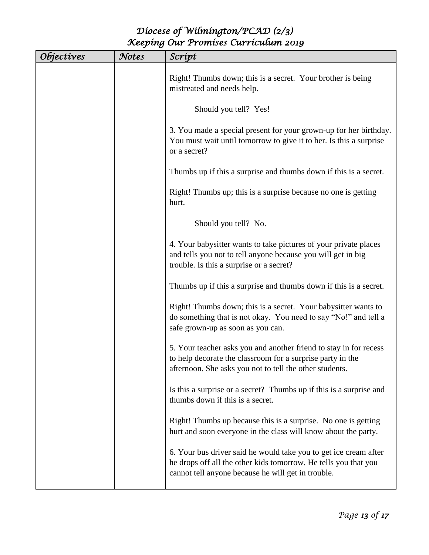| <i>Objectives</i> | Notes | Scrípt                                                                                                                                                                                     |
|-------------------|-------|--------------------------------------------------------------------------------------------------------------------------------------------------------------------------------------------|
|                   |       | Right! Thumbs down; this is a secret. Your brother is being<br>mistreated and needs help.                                                                                                  |
|                   |       | Should you tell? Yes!                                                                                                                                                                      |
|                   |       | 3. You made a special present for your grown-up for her birthday.<br>You must wait until tomorrow to give it to her. Is this a surprise<br>or a secret?                                    |
|                   |       | Thumbs up if this a surprise and thumbs down if this is a secret.                                                                                                                          |
|                   |       | Right! Thumbs up; this is a surprise because no one is getting<br>hurt.                                                                                                                    |
|                   |       | Should you tell? No.                                                                                                                                                                       |
|                   |       | 4. Your babysitter wants to take pictures of your private places<br>and tells you not to tell anyone because you will get in big<br>trouble. Is this a surprise or a secret?               |
|                   |       | Thumbs up if this a surprise and thumbs down if this is a secret.                                                                                                                          |
|                   |       | Right! Thumbs down; this is a secret. Your babysitter wants to<br>do something that is not okay. You need to say "No!" and tell a<br>safe grown-up as soon as you can.                     |
|                   |       | 5. Your teacher asks you and another friend to stay in for recess<br>to help decorate the classroom for a surprise party in the<br>afternoon. She asks you not to tell the other students. |
|                   |       | Is this a surprise or a secret? Thumbs up if this is a surprise and<br>thumbs down if this is a secret.                                                                                    |
|                   |       | Right! Thumbs up because this is a surprise. No one is getting<br>hurt and soon everyone in the class will know about the party.                                                           |
|                   |       | 6. Your bus driver said he would take you to get ice cream after<br>he drops off all the other kids tomorrow. He tells you that you<br>cannot tell anyone because he will get in trouble.  |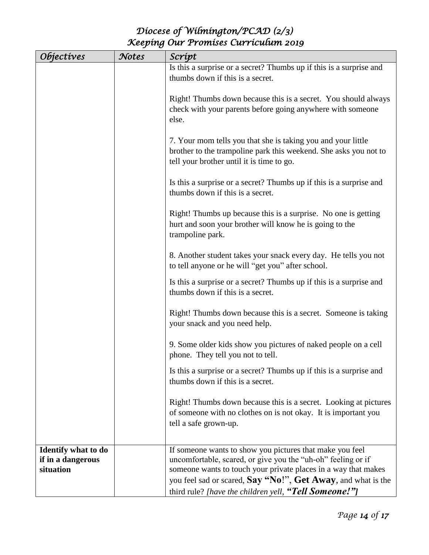| <i><b>Objectives</b></i>       | Notes | Scrípt                                                                                                                         |
|--------------------------------|-------|--------------------------------------------------------------------------------------------------------------------------------|
|                                |       | Is this a surprise or a secret? Thumbs up if this is a surprise and                                                            |
|                                |       | thumbs down if this is a secret.                                                                                               |
|                                |       |                                                                                                                                |
|                                |       | Right! Thumbs down because this is a secret. You should always                                                                 |
|                                |       | check with your parents before going anywhere with someone                                                                     |
|                                |       | else.                                                                                                                          |
|                                |       |                                                                                                                                |
|                                |       | 7. Your mom tells you that she is taking you and your little                                                                   |
|                                |       | brother to the trampoline park this weekend. She asks you not to                                                               |
|                                |       | tell your brother until it is time to go.                                                                                      |
|                                |       |                                                                                                                                |
|                                |       | Is this a surprise or a secret? Thumbs up if this is a surprise and                                                            |
|                                |       | thumbs down if this is a secret.                                                                                               |
|                                |       |                                                                                                                                |
|                                |       | Right! Thumbs up because this is a surprise. No one is getting                                                                 |
|                                |       | hurt and soon your brother will know he is going to the                                                                        |
|                                |       | trampoline park.                                                                                                               |
|                                |       |                                                                                                                                |
|                                |       | 8. Another student takes your snack every day. He tells you not                                                                |
|                                |       | to tell anyone or he will "get you" after school.                                                                              |
|                                |       | Is this a surprise or a secret? Thumbs up if this is a surprise and                                                            |
|                                |       | thumbs down if this is a secret.                                                                                               |
|                                |       |                                                                                                                                |
|                                |       | Right! Thumbs down because this is a secret. Someone is taking                                                                 |
|                                |       | your snack and you need help.                                                                                                  |
|                                |       |                                                                                                                                |
|                                |       | 9. Some older kids show you pictures of naked people on a cell                                                                 |
|                                |       | phone. They tell you not to tell.                                                                                              |
|                                |       | Is this a surprise or a secret? Thumbs up if this is a surprise and                                                            |
|                                |       | thumbs down if this is a secret.                                                                                               |
|                                |       |                                                                                                                                |
|                                |       | Right! Thumbs down because this is a secret. Looking at pictures                                                               |
|                                |       | of someone with no clothes on is not okay. It is important you                                                                 |
|                                |       | tell a safe grown-up.                                                                                                          |
|                                |       |                                                                                                                                |
|                                |       |                                                                                                                                |
| <b>Identify what to do</b>     |       | If someone wants to show you pictures that make you feel                                                                       |
| if in a dangerous<br>situation |       | uncomfortable, scared, or give you the "uh-oh" feeling or if<br>someone wants to touch your private places in a way that makes |
|                                |       |                                                                                                                                |
|                                |       | you feel sad or scared, Say "No!", Get Away, and what is the                                                                   |
|                                |       | third rule? [have the children yell, "Tell Someone!"]                                                                          |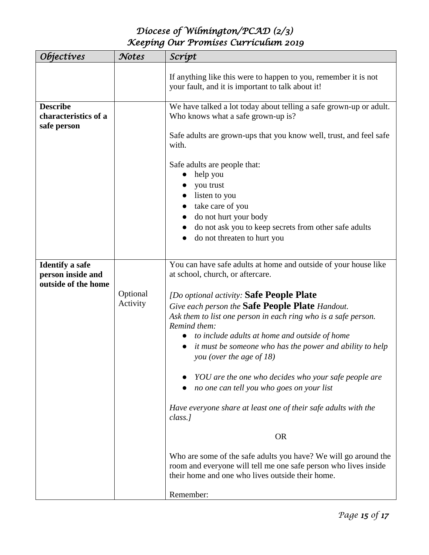| <i><b>Objectives</b></i>                                           | Notes                | Scrípt                                                                                                                                                                                                                                                                                                                              |
|--------------------------------------------------------------------|----------------------|-------------------------------------------------------------------------------------------------------------------------------------------------------------------------------------------------------------------------------------------------------------------------------------------------------------------------------------|
|                                                                    |                      | If anything like this were to happen to you, remember it is not<br>your fault, and it is important to talk about it!                                                                                                                                                                                                                |
| <b>Describe</b><br>characteristics of a<br>safe person             |                      | We have talked a lot today about telling a safe grown-up or adult.<br>Who knows what a safe grown-up is?                                                                                                                                                                                                                            |
|                                                                    |                      | Safe adults are grown-ups that you know well, trust, and feel safe<br>with.                                                                                                                                                                                                                                                         |
|                                                                    |                      | Safe adults are people that:<br>help you<br>$\bullet$<br>you trust<br>listen to you<br>take care of you<br>do not hurt your body<br>do not ask you to keep secrets from other safe adults<br>do not threaten to hurt you                                                                                                            |
| <b>Identify a safe</b><br>person inside and<br>outside of the home |                      | You can have safe adults at home and outside of your house like<br>at school, church, or aftercare.                                                                                                                                                                                                                                 |
|                                                                    | Optional<br>Activity | [Do optional activity: Safe People Plate<br>Give each person the Safe People Plate Handout.<br>Ask them to list one person in each ring who is a safe person.<br>Remind them:<br>to include adults at home and outside of home<br>it must be someone who has the power and ability to help<br>$\bullet$<br>you (over the age of 18) |
|                                                                    |                      | YOU are the one who decides who your safe people are<br>no one can tell you who goes on your list                                                                                                                                                                                                                                   |
|                                                                    |                      | Have everyone share at least one of their safe adults with the<br>class.]                                                                                                                                                                                                                                                           |
|                                                                    |                      | <b>OR</b>                                                                                                                                                                                                                                                                                                                           |
|                                                                    |                      | Who are some of the safe adults you have? We will go around the<br>room and everyone will tell me one safe person who lives inside<br>their home and one who lives outside their home.                                                                                                                                              |
|                                                                    |                      | Remember:                                                                                                                                                                                                                                                                                                                           |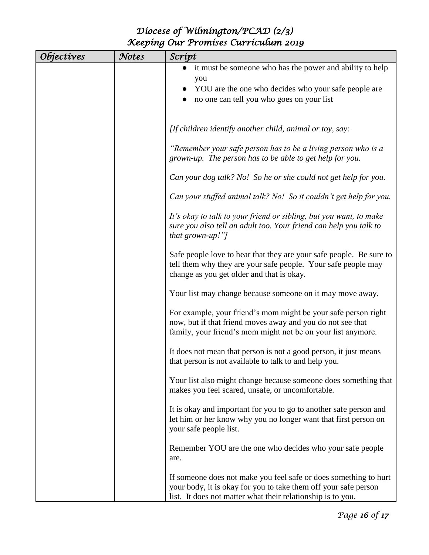| <i><b>Objectives</b></i> | Notes | Scrípt                                                                                                                                                                                       |
|--------------------------|-------|----------------------------------------------------------------------------------------------------------------------------------------------------------------------------------------------|
|                          |       | it must be someone who has the power and ability to help<br>$\bullet$                                                                                                                        |
|                          |       | you                                                                                                                                                                                          |
|                          |       | YOU are the one who decides who your safe people are                                                                                                                                         |
|                          |       | no one can tell you who goes on your list                                                                                                                                                    |
|                          |       |                                                                                                                                                                                              |
|                          |       | [If children identify another child, animal or toy, say:                                                                                                                                     |
|                          |       |                                                                                                                                                                                              |
|                          |       | "Remember your safe person has to be a living person who is a<br>grown-up. The person has to be able to get help for you.                                                                    |
|                          |       | Can your dog talk? No! So he or she could not get help for you.                                                                                                                              |
|                          |       | Can your stuffed animal talk? No! So it couldn't get help for you.                                                                                                                           |
|                          |       | It's okay to talk to your friend or sibling, but you want, to make<br>sure you also tell an adult too. Your friend can help you talk to<br>that grown-up!"]                                  |
|                          |       | Safe people love to hear that they are your safe people. Be sure to<br>tell them why they are your safe people. Your safe people may<br>change as you get older and that is okay.            |
|                          |       | Your list may change because someone on it may move away.                                                                                                                                    |
|                          |       | For example, your friend's mom might be your safe person right<br>now, but if that friend moves away and you do not see that<br>family, your friend's mom might not be on your list anymore. |
|                          |       | It does not mean that person is not a good person, it just means<br>that person is not available to talk to and help you.                                                                    |
|                          |       | Your list also might change because someone does something that<br>makes you feel scared, unsafe, or uncomfortable.                                                                          |
|                          |       | It is okay and important for you to go to another safe person and<br>let him or her know why you no longer want that first person on<br>your safe people list.                               |
|                          |       | Remember YOU are the one who decides who your safe people<br>are.                                                                                                                            |
|                          |       | If someone does not make you feel safe or does something to hurt                                                                                                                             |
|                          |       | your body, it is okay for you to take them off your safe person                                                                                                                              |
|                          |       | list. It does not matter what their relationship is to you.                                                                                                                                  |